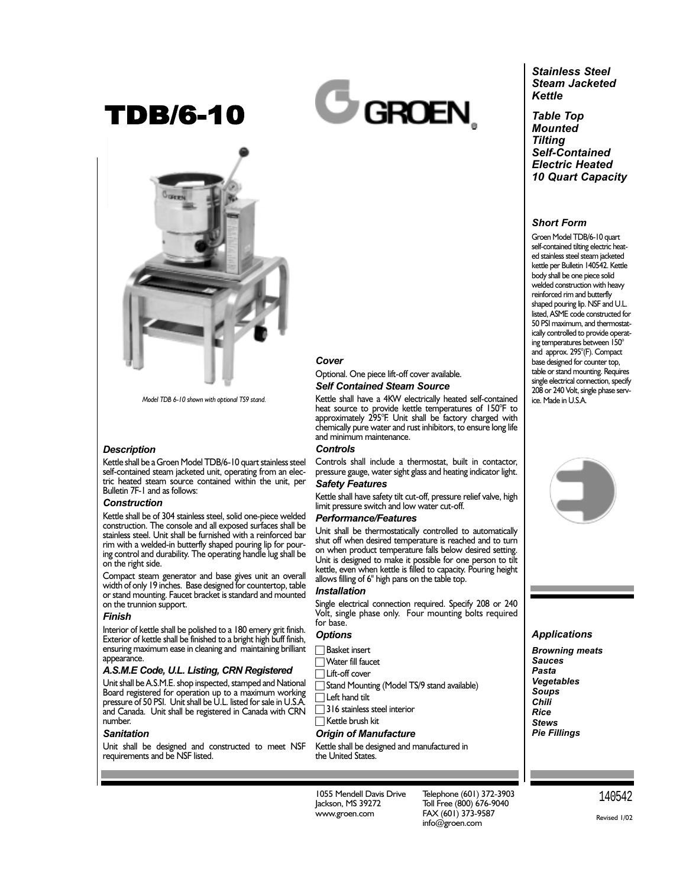## TDB/6-10



*Model TDB 6-10 shown with optional TS9 stand.*

#### *Description*

Kettle shall be a Groen Model TDB/6-10 quart stainless steel self-contained steam jacketed unit, operating from an electric heated steam source contained within the unit, per Bulletin 7F-1 and as follows:

#### *Construction*

Kettle shall be of 304 stainless steel, solid one-piece welded construction. The console and all exposed surfaces shall be stainless steel. Unit shall be furnished with a reinforced bar rim with a welded-in butterfly shaped pouring lip for pouring control and durability. The operating handle lug shall be on the right side.

Compact steam generator and base gives unit an overall width of only 19 inches. Base designed for countertop, table or stand mounting. Faucet bracket is standard and mounted on the trunnion support.

#### *Finish*

Interior of kettle shall be polished to a 180 emery grit finish. Exterior of kettle shall be finished to a bright high buff finish, ensuring maximum ease in cleaning and maintaining brilliant appearance.

#### *A.S.M.E Code, U.L. Listing, CRN Registered*

Unit shall be A.S.M.E. shop inspected, stamped and National Board registered for operation up to a maximum working pressure of 50 PSI. Unit shall be U.L. listed for sale in U.S.A. and Canada. Unit shall be registered in Canada with CRN number.

#### *Sanitation*

Unit shall be designed and constructed to meet NSF requirements and be NSF listed.

# **GROEN**



*Mounted Tilting Self-Contained Electric Heated 10 Quart Capacity*

*Stainless Steel Steam Jacketed*

#### *Short Form*

Groen Model TDB/6-10 quart self-contained tilting electric heated stainless steel steam jacketed kettle per Bulletin 140542. Kettle body shall be one piece solid welded construction with heavy reinforced rim and butterfly shaped pouring lip. NSF and U.L. listed, ASME code constructed for 50 PSI maximum, and thermostatically controlled to provide operating temperatures between 150° and approx. 295°(F). Compact base designed for counter top, table or stand mounting. Requires single electrical connection, specify 208 or 240 Volt, single phase service. Made in U.S.A.

#### *Cover*

Optional. One piece lift-off cover available. *Self Contained Steam Source* 

Kettle shall have a 4KW electrically heated self-contained heat source to provide kettle temperatures of 150°F to approximately 295°F. Unit shall be factory charged with chemically pure water and rust inhibitors, to ensure long life and minimum maintenance.

#### *Controls*

Controls shall include a thermostat, built in contactor, pressure gauge, water sight glass and heating indicator light. *Safety Features*

Kettle shall have safety tilt cut-off, pressure relief valve, high limit pressure switch and low water cut-off.

#### *Performance/Features*

Unit shall be thermostatically controlled to automatically shut off when desired temperature is reached and to turn on when product temperature falls below desired setting. Unit is designed to make it possible for one person to tilt kettle, even when kettle is filled to capacity. Pouring height allows filling of 6" high pans on the table top.

#### *Installation*

Single electrical connection required. Specify 208 or 240 Volt, single phase only. Four mounting bolts required for base.

### *Options*

- Basket insert
- Water fill faucet
- Lift-off cover
- Stand Mounting (Model TS/9 stand available)
- Left hand tilt
- □ 316 stainless steel interior
- **Kettle brush kit**

#### *Origin of Manufacture*

Kettle shall be designed and manufactured in the United States.

1055 Mendell Davis Drive Jackson, MS 39272 www.groen.com

Telephone (601) 372-3903 Toll Free (800) 676-9040 FAX (601) 373-9587 info@groen.com



#### *Applications*

*Browning meats Sauces Pasta Vegetables Soups Chili Rice Stews Pie Fillings*

> 140542 Revised 1/02